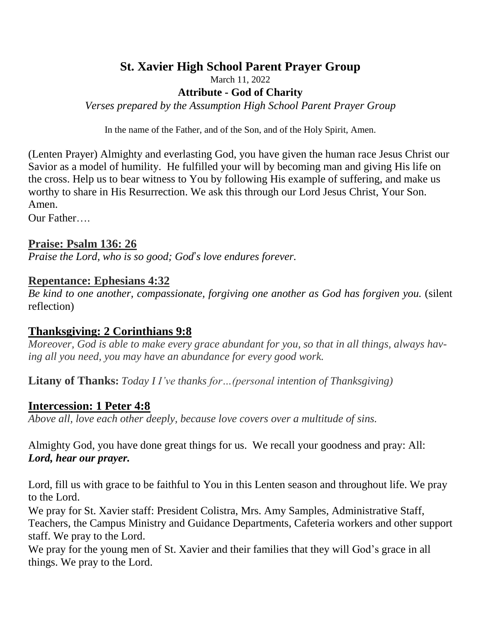# **St. Xavier High School Parent Prayer Group**

March 11, 2022

**Attribute - God of Charity**

*Verses prepared by the Assumption High School Parent Prayer Group*

In the name of the Father, and of the Son, and of the Holy Spirit, Amen.

(Lenten Prayer) Almighty and everlasting God, you have given the human race Jesus Christ our Savior as a model of humility. He fulfilled your will by becoming man and giving His life on the cross. Help us to bear witness to You by following His example of suffering, and make us worthy to share in His Resurrection. We ask this through our Lord Jesus Christ, Your Son. Amen.

Our Father….

#### **Praise: Psalm 136: 26**

*Praise the Lord, who is so good; God*'*s love endures forever.*

### **Repentance: Ephesians 4:32**

*Be kind to one another, compassionate, forgiving one another as God has forgiven you.* (silent reflection)

## **Thanksgiving: 2 Corinthians 9:8**

*Moreover, God is able to make every grace abundant for you, so that in all things, always having all you need, you may have an abundance for every good work.*

**Litany of Thanks:** *Today I I've thanks for…(personal intention of Thanksgiving)*

#### **Intercession: 1 Peter 4:8**

*Above all, love each other deeply, because love covers over a multitude of sins.*

Almighty God, you have done great things for us. We recall your goodness and pray: All: *Lord, hear our prayer.*

Lord, fill us with grace to be faithful to You in this Lenten season and throughout life. We pray to the Lord.

We pray for St. Xavier staff: President Colistra, Mrs. Amy Samples, Administrative Staff, Teachers, the Campus Ministry and Guidance Departments, Cafeteria workers and other support staff. We pray to the Lord.

We pray for the young men of St. Xavier and their families that they will God's grace in all things. We pray to the Lord.